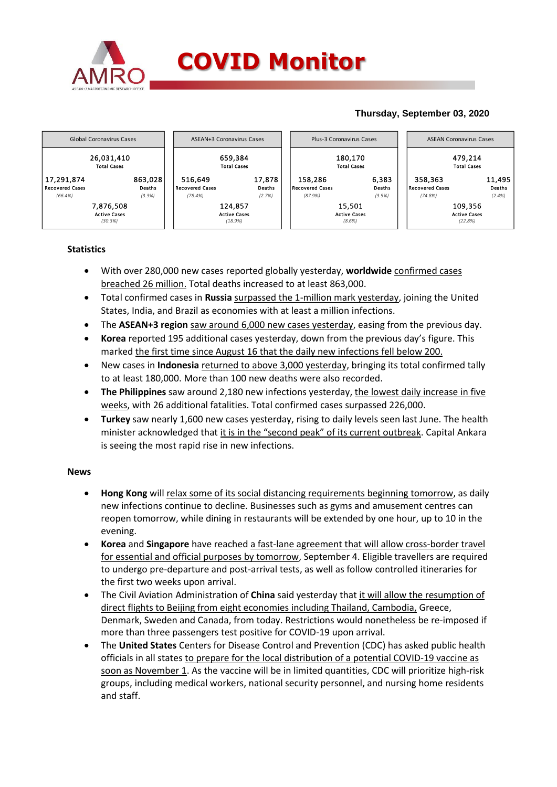

### **Thursday, September 03, 2020**



## **Statistics**

- With over 280,000 new cases reported globally yesterday, **worldwide** confirmed cases breached 26 million. Total deaths increased to at least 863,000.
- Total confirmed cases in Russia surpassed the 1-million mark yesterday, joining the United States, India, and Brazil as economies with at least a million infections.
- The **ASEAN+3 region** saw around 6,000 new cases yesterday, easing from the previous day.
- **Korea** reported 195 additional cases yesterday, down from the previous day's figure. This marked the first time since August 16 that the daily new infections fell below 200.
- New cases in **Indonesia** returned to above 3,000 yesterday, bringing its total confirmed tally to at least 180,000. More than 100 new deaths were also recorded.
- **The Philippines** saw around 2,180 new infections yesterday, the lowest daily increase in five weeks, with 26 additional fatalities. Total confirmed cases surpassed 226,000.
- **Turkey** saw nearly 1,600 new cases yesterday, rising to daily levels seen last June. The health minister acknowledged that it is in the "second peak" of its current outbreak. Capital Ankara is seeing the most rapid rise in new infections.

### **News**

- **Hong Kong** will relax some of its social distancing requirements beginning tomorrow, as daily new infections continue to decline. Businesses such as gyms and amusement centres can reopen tomorrow, while dining in restaurants will be extended by one hour, up to 10 in the evening.
- **Korea** and **Singapore** have reached a fast-lane agreement that will allow cross-border travel for essential and official purposes by tomorrow, September 4. Eligible travellers are required to undergo pre-departure and post-arrival tests, as well as follow controlled itineraries for the first two weeks upon arrival.
- The Civil Aviation Administration of **China** said yesterday that it will allow the resumption of direct flights to Beijing from eight economies including Thailand, Cambodia, Greece, Denmark, Sweden and Canada, from today. Restrictions would nonetheless be re-imposed if more than three passengers test positive for COVID-19 upon arrival.
- The **United States** Centers for Disease Control and Prevention (CDC) has asked public health officials in all states to prepare for the local distribution of a potential COVID-19 vaccine as soon as November 1. As the vaccine will be in limited quantities, CDC will prioritize high-risk groups, including medical workers, national security personnel, and nursing home residents and staff.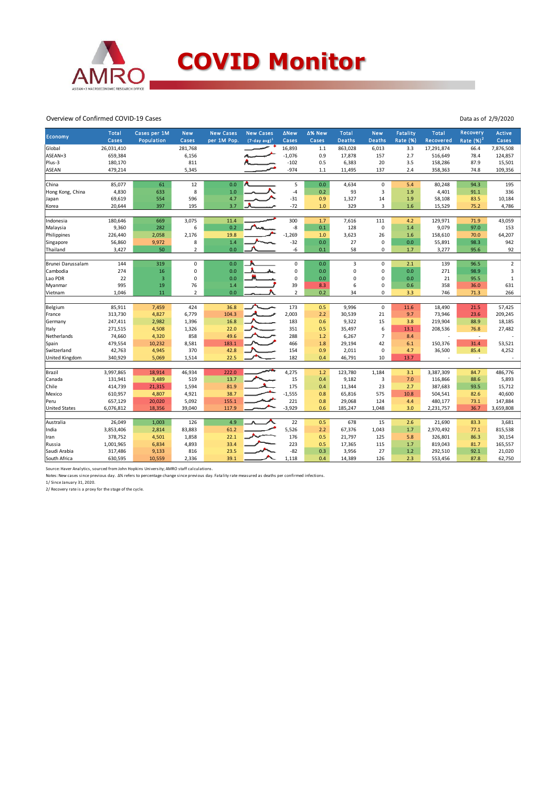

#### Overview of Confirmed COVID-19 Cases

| Economy               | Total<br>Cases | Cases per 1M<br>Population | <b>New</b><br>Cases | <b>New Cases</b><br>per 1M Pop. | <b>New Cases</b><br>$(7-day avg)^1$ | <b>ANew</b><br>Cases | ∆% New<br>Cases | <b>Total</b><br><b>Deaths</b> | <b>New</b><br><b>Deaths</b> | Fatality<br><b>Rate (%)</b> | Total<br>Recovered | Recovery<br>Rate $(\%)^2$ | <b>Active</b><br>Cases |
|-----------------------|----------------|----------------------------|---------------------|---------------------------------|-------------------------------------|----------------------|-----------------|-------------------------------|-----------------------------|-----------------------------|--------------------|---------------------------|------------------------|
| Global                | 26,031,410     |                            | 281,768             |                                 |                                     | 16,893               | $1.1$           | 863,028                       | 6,013                       | 3.3                         | 17,291,874         | 66.4                      | 7,876,508              |
| ASEAN+3               | 659,384        |                            | 6,156               |                                 |                                     | $-1,076$             | 0.9             | 17,878                        | 157                         | 2.7                         | 516,649            | 78.4                      | 124,857                |
| Plus-3                | 180,170        |                            | 811                 |                                 |                                     | $-102$               | 0.5             | 6,383                         | 20                          | 3.5                         | 158,286            | 87.9                      | 15,501                 |
| <b>ASEAN</b>          | 479,214        |                            | 5,345               |                                 |                                     | $-974$               | 1.1             | 11,495                        | 137                         | 2.4                         | 358,363            | 74.8                      | 109,356                |
|                       |                |                            |                     |                                 |                                     |                      |                 |                               |                             |                             |                    |                           |                        |
| China                 | 85,077         | 61                         | 12                  | 0.0                             |                                     | 5                    | 0.0             | 4,634                         | $\mathbf 0$                 | 5.4                         | 80,248             | 94.3                      | 195                    |
| Hong Kong, China      | 4,830          | 633                        | 8                   | 1.0                             |                                     | $-4$                 | 0.2             | 93                            | $\overline{3}$              | 1.9                         | 4,401              | 91.1                      | 336                    |
| Japan                 | 69,619         | 554                        | 596                 | 4.7                             |                                     | $-31$                | 0.9             | 1,327                         | 14                          | 1.9                         | 58,108             | 83.5                      | 10,184                 |
| Korea                 | 20,644         | 397                        | 195                 | 3.7                             |                                     | $-72$                | 1.0             | 329                           | 3                           | 1.6                         | 15,529             | 75.2                      | 4,786                  |
| Indonesia             | 180,646        | 669                        | 3,075               | 11.4                            |                                     | 300                  | 1.7             | 7,616                         | 111                         | 4.2                         | 129,971            | 71.9                      | 43,059                 |
| Malaysia              | 9,360          | 282                        | 6                   | 0.2                             |                                     | $-8$                 | 0.1             | 128                           | 0                           | 1.4                         | 9,079              | 97.0                      | 153                    |
| Philippines           | 226,440        | 2,058                      | 2,176               | 19.8                            |                                     | $-1,269$             | 1.0             | 3,623                         | 26                          | 1.6                         | 158,610            | 70.0                      | 64,207                 |
| Singapore             | 56,860         | 9,972                      | 8                   | 1.4                             |                                     | $-32$                | 0.0             | 27                            | 0                           | 0.0                         | 55,891             | 98.3                      | 942                    |
| Thailand              | 3,427          | 50                         | $\overline{2}$      | 0.0                             |                                     | -6                   | 0.1             | 58                            | 0                           | 1.7                         | 3,277              | 95.6                      | 92                     |
|                       |                |                            |                     |                                 |                                     |                      |                 |                               |                             |                             |                    |                           |                        |
| Brunei Darussalam     | 144            | 319                        | $\mathsf 0$         | 0.0                             |                                     | $\pmb{0}$            | 0.0             | 3                             | $\mathbf 0$                 | 2.1                         | 139                | 96.5                      | $\mathbf 2$            |
| Cambodia              | 274            | 16                         | 0                   | 0.0                             |                                     | $\pmb{0}$            | 0.0             | 0                             | 0                           | 0.0                         | 271                | 98.9                      | 3                      |
| Lao PDR               | 22             | $\overline{3}$             | $\pmb{0}$           | 0.0                             |                                     | $\mathbf 0$          | 0.0             | 0                             | $\overline{0}$              | 0.0                         | 21                 | 95.5                      | $\mathbf{1}$           |
| Myanmar               | 995            | 19                         | 76                  | 1.4                             |                                     | 39                   | 8.3             | 6                             | 0                           | 0.6                         | 358                | 36.0                      | 631                    |
| Vietnam               | 1,046          | 11                         | $\overline{2}$      | 0.0                             |                                     | $\overline{2}$       | 0.2             | 34                            | 0                           | 3.3                         | 746                | 71.3                      | 266                    |
|                       |                |                            |                     |                                 |                                     |                      |                 |                               |                             |                             |                    |                           |                        |
| Belgium               | 85,911         | 7,459                      | 424                 | 36.8                            |                                     | 173                  | 0.5             | 9,996                         | $\mathsf 0$                 | 11.6                        | 18,490             | 21.5                      | 57,425                 |
| France                | 313,730        | 4,827                      | 6,779               | 104.3                           | $\mathbf{A}_{\mathbf{c}}$           | 2,003                | 2.2             | 30,539                        | 21                          | 9.7                         | 73,946             | 23.6                      | 209,245                |
| Germany               | 247,411        | 2,982                      | 1,396               | 16.8                            |                                     | 183                  | 0.6             | 9,322                         | 15                          | 3.8                         | 219,904            | 88.9                      | 18,185                 |
| Italy                 | 271,515        | 4,508                      | 1,326               | 22.0                            |                                     | 351                  | 0.5             | 35,497                        | 6                           | 13.1                        | 208,536            | 76.8                      | 27,482                 |
| Netherlands           | 74,660         | 4,320                      | 858                 | 49.6                            |                                     | 288                  | 1.2             | 6,267                         | $\overline{7}$              | 8.4                         |                    | $\overline{\phantom{a}}$  |                        |
| Spain                 | 479,554        | 10,232                     | 8,581               | 183.1                           |                                     | 466                  | 1.8             | 29,194                        | 42                          | 6.1                         | 150,376            | 31.4                      | 53,521                 |
| Switzerland           | 42,763         | 4,945                      | 370                 | 42.8                            |                                     | 154                  | 0.9             | 2,011                         | 0                           | 4.7                         | 36,500             | 85.4                      | 4,252                  |
| <b>United Kingdom</b> | 340,929        | 5,069                      | 1,514               | 22.5                            |                                     | 182                  | 0.4             | 46,791                        | 10                          | 13.7                        |                    | $\overline{\phantom{a}}$  | $\sim$                 |
| Brazil                | 3,997,865      | 18,914                     | 46,934              | 222.0                           |                                     | 4,275                | 1.2             | 123,780                       | 1,184                       | 3.1                         | 3,387,309          | 84.7                      | 486,776                |
| Canada                | 131,941        | 3,489                      | 519                 | 13.7                            |                                     | 15                   | 0.4             | 9,182                         | 3                           | 7.0                         | 116,866            | 88.6                      | 5,893                  |
| Chile                 | 414,739        | 21,315                     | 1,594               | 81.9                            |                                     | 175                  | 0.4             | 11,344                        | 23                          | 2.7                         | 387,683            | 93.5                      | 15,712                 |
| Mexico                | 610,957        | 4,807                      | 4,921               | 38.7                            |                                     | $-1,555$             | 0.8             | 65,816                        | 575                         | 10.8                        | 504,541            | 82.6                      | 40,600                 |
| Peru                  | 657,129        | 20,020                     | 5,092               | 155.1                           |                                     | 221                  | 0.8             | 29,068                        | 124                         | 4.4                         | 480,177            | 73.1                      | 147,884                |
| <b>United States</b>  | 6,076,812      | 18,356                     | 39,040              | 117.9                           |                                     | $-3,929$             | 0.6             | 185,247                       | 1,048                       | 3.0                         | 2,231,757          | 36.7                      | 3,659,808              |
|                       |                |                            |                     |                                 |                                     |                      |                 |                               |                             |                             |                    |                           |                        |
| Australia             | 26,049         | 1,003                      | 126                 | 4.9                             |                                     | 22                   | 0.5             | 678                           | 15                          | 2.6                         | 21,690             | 83.3                      | 3,681                  |
| India                 | 3,853,406      | 2,814                      | 83,883              | 61.2                            |                                     | 5,526                | 2.2             | 67,376                        | 1,043                       | 1.7                         | 2,970,492          | 77.1                      | 815,538                |
| Iran                  | 378,752        | 4,501                      | 1,858               | 22.1                            |                                     | 176                  | 0.5             | 21,797                        | 125                         | 5.8                         | 326,801            | 86.3                      | 30,154                 |
| Russia                | 1,001,965      | 6,834                      | 4,893               | 33.4                            |                                     | 223                  | 0.5             | 17,365                        | 115                         | 1.7                         | 819,043            | 81.7                      | 165,557                |
| Saudi Arabia          | 317,486        | 9,133                      | 816                 | 23.5                            |                                     | $-82$                | 0.3             | 3,956                         | 27                          | 1.2                         | 292,510            | 92.1                      | 21,020                 |
| South Africa          | 630,595        | 10,559                     | 2,336               | 39.1                            |                                     | 1,118                | 0.4             | 14,389                        | 126                         | 2.3                         | 553,456            | 87.8                      | 62,750                 |

Source: Haver Analytics, sourced from John Hopkins University; AMRO staff calculations.<br>Notes: New cases since previous day. ∆% refers to percentage change since previous day. Fatality rate measured as deaths per confirmed

1/ Since January 31, 2020.

2/ Recovery rate is a proxy for the stage of the cycle.

Data as of 2/9/2020